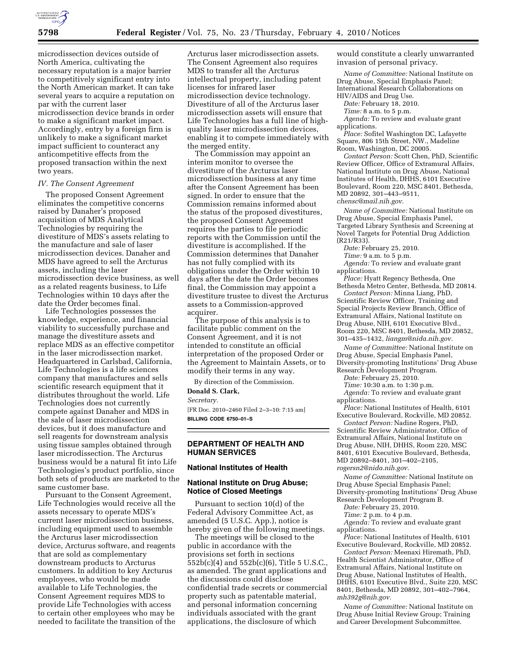

microdissection devices outside of North America, cultivating the necessary reputation is a major barrier to competitively significant entry into the North American market. It can take several years to acquire a reputation on par with the current laser microdissection device brands in order to make a significant market impact. Accordingly, entry by a foreign firm is unlikely to make a significant market impact sufficient to counteract any anticompetitive effects from the proposed transaction within the next two years.

#### *IV. The Consent Agreement*

The proposed Consent Agreement eliminates the competitive concerns raised by Danaher's proposed acquisition of MDS Analytical Technologies by requiring the divestiture of MDS's assets relating to the manufacture and sale of laser microdissection devices. Danaher and MDS have agreed to sell the Arcturus assets, including the laser microdissection device business, as well as a related reagents business, to Life Technologies within 10 days after the date the Order becomes final.

Life Technologies possesses the knowledge, experience, and financial viability to successfully purchase and manage the divestiture assets and replace MDS as an effective competitor in the laser microdissection market. Headquartered in Carlsbad, California, Life Technologies is a life sciences company that manufactures and sells scientific research equipment that it distributes throughout the world. Life Technologies does not currently compete against Danaher and MDS in the sale of laser microdissection devices, but it does manufacture and sell reagents for downstream analysis using tissue samples obtained through laser microdissection. The Arcturus business would be a natural fit into Life Technologies's product portfolio, since both sets of products are marketed to the same customer base.

Pursuant to the Consent Agreement, Life Technologies would receive all the assets necessary to operate MDS's current laser microdissection business, including equipment used to assemble the Arcturus laser microdissection device, Arcturus software, and reagents that are sold as complementary downstream products to Arcturus customers. In addition to key Arcturus employees, who would be made available to Life Technologies, the Consent Agreement requires MDS to provide Life Technologies with access to certain other employees who may be needed to facilitate the transition of the

Arcturus laser microdissection assets. The Consent Agreement also requires MDS to transfer all the Arcturus intellectual property, including patent licenses for infrared laser microdissection device technology. Divestiture of all of the Arcturus laser microdissection assets will ensure that Life Technologies has a full line of highquality laser microdissection devices, enabling it to compete immediately with the merged entity.

The Commission may appoint an interim monitor to oversee the divestiture of the Arcturus laser microdissection business at any time after the Consent Agreement has been signed. In order to ensure that the Commission remains informed about the status of the proposed divestitures, the proposed Consent Agreement requires the parties to file periodic reports with the Commission until the divestiture is accomplished. If the Commission determines that Danaher has not fully complied with its obligations under the Order within 10 days after the date the Order becomes final, the Commission may appoint a divestiture trustee to divest the Arcturus assets to a Commission-approved acquirer.

The purpose of this analysis is to facilitate public comment on the Consent Agreement, and it is not intended to constitute an official interpretation of the proposed Order or the Agreement to Maintain Assets, or to modify their terms in any way.

By direction of the Commission. **Donald S. Clark,**  *Secretary.* 

[FR Doc. 2010–2460 Filed 2–3–10: 7:15 am] **BILLING CODE 6750–01–S** 

### **DEPARTMENT OF HEALTH AND HUMAN SERVICES**

#### **National Institutes of Health**

#### **National Institute on Drug Abuse; Notice of Closed Meetings**

Pursuant to section 10(d) of the Federal Advisory Committee Act, as amended (5 U.S.C. App.), notice is hereby given of the following meetings.

The meetings will be closed to the public in accordance with the provisions set forth in sections 552b(c)(4) and 552b(c)(6), Title 5 U.S.C., as amended. The grant applications and the discussions could disclose confidential trade secrets or commercial property such as patentable material, and personal information concerning individuals associated with the grant applications, the disclosure of which

would constitute a clearly unwarranted invasion of personal privacy.

*Name of Committee:* National Institute on Drug Abuse, Special Emphasis Panel; International Research Collaborations on HIV/AIDS and Drug Use.

*Date:* February 18, 2010.

*Time:* 8 a.m. to 5 p.m.

*Agenda:* To review and evaluate grant applications.

*Place:* Sofitel Washington DC, Lafayette Square, 806 15th Street, NW., Madeline Room, Washington, DC 20005.

*Contact Person:* Scott Chen, PhD, Scientific Review Officer, Office of Extramural Affairs, National Institute on Drug Abuse, National Institutes of Health, DHHS, 6101 Executive Boulevard, Room 220, MSC 8401, Bethesda, MD 20892, 301–443–9511, *chensc@mail.nih.gov.* 

*Name of Committee:* National Institute on Drug Abuse, Special Emphasis Panel, Targeted Library Synthesis and Screening at Novel Targets for Potential Drug Addiction (R21/R33).

*Date:* February 25, 2010.

*Time:* 9 a.m. to 5 p.m.

*Agenda:* To review and evaluate grant applications.

*Place:* Hyatt Regency Bethesda, One Bethesda Metro Center, Bethesda, MD 20814.

*Contact Person:* Minna Liang, PhD, Scientific Review Officer, Training and Special Projects Review Branch, Office of Extramural Affairs, National Institute on Drug Abuse, NIH, 6101 Executive Blvd., Room 220, MSC 8401, Bethesda, MD 20852, 301–435–1432, *liangm@nida.nih.gov.* 

*Name of Committee:* National Institute on Drug Abuse, Special Emphasis Panel, Diversity-promoting Institutions' Drug Abuse Research Development Program.

*Date:* February 25, 2010.

*Time:* 10:30 a.m. to 1:30 p.m.

*Agenda:* To review and evaluate grant applications.

*Place:* National Institutes of Health, 6101 Executive Boulevard, Rockville, MD 20852.

*Contact Person:* Nadine Rogers, PhD, Scientific Review Administrator, Office of Extramural Affairs, National Institute on Drug Abuse, NIH, DHHS, Room 220, MSC 8401, 6101 Executive Boulevard, Bethesda, MD 20892–8401, 301–402–2105, *rogersn2@nida.nih.gov*.

*Name of Committee:* National Institute on Drug Abuse Special Emphasis Panel; Diversity-promoting Institutions' Drug Abuse Research Development Program B.

*Date:* February 25, 2010.

*Time:* 2 p.m. to 4 p.m.

*Agenda:* To review and evaluate grant applications.

*Place:* National Institutes of Health, 6101 Executive Boulevard, Rockville, MD 20852.

*Contact Person:* Meenaxi Hiremath, PhD, Health Scientist Administrator, Office of Extramural Affairs, National Institute on Drug Abuse, National Institutes of Health, DHHS, 6101 Executive Blvd., Suite 220, MSC 8401, Bethesda, MD 20892, 301–402–7964, *mh392g@nih.gov.* 

*Name of Committee:* National Institute on Drug Abuse Initial Review Group; Training and Career Development Subcommittee.